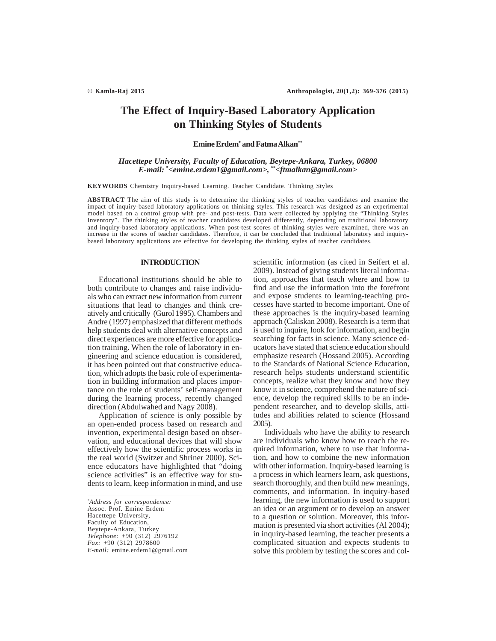# **The Effect of Inquiry-Based Laboratory Application on Thinking Styles of Students**

#### **Emine Erdem\* and Fatma Alkan\*\***

# *Hacettepe University, Faculty of Education, Beytepe-Ankara, Turkey, 06800 E-mail: \* <emine.erdem1@gmail.com>, \*\*<ftmalkan@gmail.com>*

**KEYWORDS** Chemistry Inquiry-based Learning. Teacher Candidate. Thinking Styles

**ABSTRACT** The aim of this study is to determine the thinking styles of teacher candidates and examine the impact of inquiry-based laboratory applications on thinking styles. This research was designed as an experimental model based on a control group with pre- and post-tests. Data were collected by applying the "Thinking Styles Inventory". The thinking styles of teacher candidates developed differently, depending on traditional laboratory and inquiry-based laboratory applications. When post-test scores of thinking styles were examined, there was an increase in the scores of teacher candidates. Therefore, it can be concluded that traditional laboratory and inquirybased laboratory applications are effective for developing the thinking styles of teacher candidates.

#### **INTRODUCTION**

Educational institutions should be able to both contribute to changes and raise individuals who can extract new information from current situations that lead to changes and think creatively and critically (Gurol 1995). Chambers and Andre (1997) emphasized that different methods help students deal with alternative concepts and direct experiences are more effective for application training. When the role of laboratory in engineering and science education is considered, it has been pointed out that constructive education, which adopts the basic role of experimentation in building information and places importance on the role of students' self-management during the learning process, recently changed direction (Abdulwahed and Nagy 2008).

Application of science is only possible by an open-ended process based on research and invention, experimental design based on observation, and educational devices that will show effectively how the scientific process works in the real world (Switzer and Shriner 2000). Science educators have highlighted that "doing science activities" is an effective way for students to learn, keep information in mind, and use

*\* Address for correspondence:* Assoc. Prof. Emine Erdem Hacettepe University, Faculty of Education, Beytepe-Ankara, Turkey *Telephone:* +90 (312) 2976192 *Fax:* +90 (312) 2978600 *E-mail:* emine.erdem1@gmail.com scientific information (as cited in Seifert et al. 2009). Instead of giving students literal information, approaches that teach where and how to find and use the information into the forefront and expose students to learning-teaching processes have started to become important. One of these approaches is the inquiry-based learning approach (Caliskan 2008). Research is a term that is used to inquire, look for information, and begin searching for facts in science. Many science educators have stated that science education should emphasize research (Hossand 2005). According to the Standards of National Science Education, research helps students understand scientific concepts, realize what they know and how they know it in science, comprehend the nature of science, develop the required skills to be an independent researcher, and to develop skills, attitudes and abilities related to science (Hossand 2005).

Individuals who have the ability to research are individuals who know how to reach the required information, where to use that information, and how to combine the new information with other information. Inquiry-based learning is a process in which learners learn, ask questions, search thoroughly, and then build new meanings, comments, and information. In inquiry-based learning, the new information is used to support an idea or an argument or to develop an answer to a question or solution. Moreover, this information is presented via short activities (Al 2004); in inquiry-based learning, the teacher presents a complicated situation and expects students to solve this problem by testing the scores and col-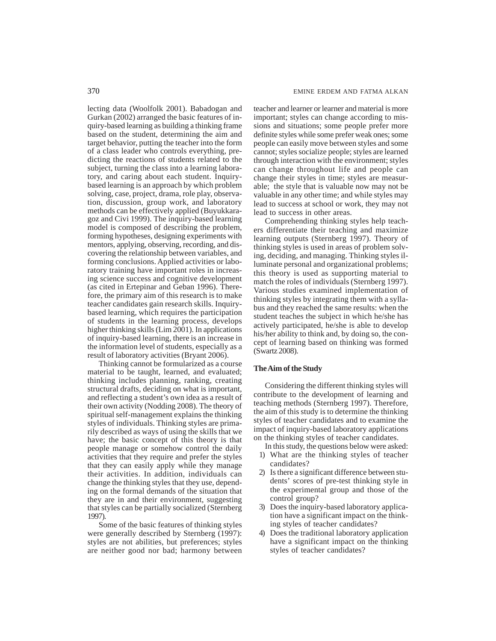lecting data (Woolfolk 2001). Babadogan and Gurkan (2002) arranged the basic features of inquiry-based learning as building a thinking frame based on the student, determining the aim and target behavior, putting the teacher into the form of a class leader who controls everything, predicting the reactions of students related to the subject, turning the class into a learning laboratory, and caring about each student. Inquirybased learning is an approach by which problem solving, case, project, drama, role play, observation, discussion, group work, and laboratory methods can be effectively applied (Buyukkaragoz and Civi 1999). The inquiry-based learning model is composed of describing the problem, forming hypotheses, designing experiments with mentors, applying, observing, recording, and discovering the relationship between variables, and forming conclusions. Applied activities or laboratory training have important roles in increasing science success and cognitive development (as cited in Ertepinar and Geban 1996). Therefore, the primary aim of this research is to make teacher candidates gain research skills. Inquirybased learning, which requires the participation of students in the learning process, develops higher thinking skills (Lim 2001). In applications of inquiry-based learning, there is an increase in the information level of students, especially as a result of laboratory activities (Bryant 2006).

Thinking cannot be formularized as a course material to be taught, learned, and evaluated; thinking includes planning, ranking, creating structural drafts, deciding on what is important, and reflecting a student's own idea as a result of their own activity (Nodding 2008). The theory of spiritual self-management explains the thinking styles of individuals. Thinking styles are primarily described as ways of using the skills that we have; the basic concept of this theory is that people manage or somehow control the daily activities that they require and prefer the styles that they can easily apply while they manage their activities. In addition, individuals can change the thinking styles that they use, depending on the formal demands of the situation that they are in and their environment, suggesting that styles can be partially socialized (Sternberg 1997).

Some of the basic features of thinking styles were generally described by Sternberg (1997): styles are not abilities, but preferences; styles are neither good nor bad; harmony between teacher and learner or learner and material is more important; styles can change according to missions and situations; some people prefer more definite styles while some prefer weak ones; some people can easily move between styles and some cannot; styles socialize people; styles are learned through interaction with the environment; styles can change throughout life and people can change their styles in time; styles are measurable; the style that is valuable now may not be valuable in any other time; and while styles may lead to success at school or work, they may not lead to success in other areas.

Comprehending thinking styles help teachers differentiate their teaching and maximize learning outputs (Sternberg 1997). Theory of thinking styles is used in areas of problem solving, deciding, and managing. Thinking styles illuminate personal and organizational problems; this theory is used as supporting material to match the roles of individuals (Sternberg 1997). Various studies examined implementation of thinking styles by integrating them with a syllabus and they reached the same results: when the student teaches the subject in which he/she has actively participated, he/she is able to develop his/her ability to think and, by doing so, the concept of learning based on thinking was formed (Swartz 2008).

# **The Aim of the Study**

Considering the different thinking styles will contribute to the development of learning and teaching methods (Sternberg 1997). Therefore, the aim of this study is to determine the thinking styles of teacher candidates and to examine the impact of inquiry-based laboratory applications on the thinking styles of teacher candidates.

In this study, the questions below were asked:

- 1) What are the thinking styles of teacher candidates?
- 2) Is there a significant difference between students' scores of pre-test thinking style in the experimental group and those of the control group?
- 3) Does the inquiry-based laboratory application have a significant impact on the thinking styles of teacher candidates?
- 4) Does the traditional laboratory application have a significant impact on the thinking styles of teacher candidates?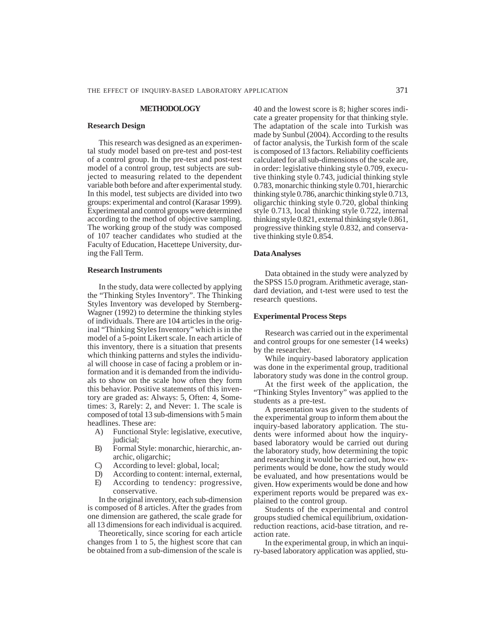#### **METHODOLOGY**

#### **Research Design**

This research was designed as an experimental study model based on pre-test and post-test of a control group. In the pre-test and post-test model of a control group, test subjects are subjected to measuring related to the dependent variable both before and after experimental study. In this model, test subjects are divided into two groups: experimental and control (Karasar 1999). Experimental and control groups were determined according to the method of objective sampling. The working group of the study was composed of 107 teacher candidates who studied at the Faculty of Education, Hacettepe University, during the Fall Term.

#### **Research Instruments**

In the study, data were collected by applying the "Thinking Styles Inventory". The Thinking Styles Inventory was developed by Sternberg-Wagner (1992) to determine the thinking styles of individuals. There are 104 articles in the original "Thinking Styles Inventory" which is in the model of a 5-point Likert scale. In each article of this inventory, there is a situation that presents which thinking patterns and styles the individual will choose in case of facing a problem or information and it is demanded from the individuals to show on the scale how often they form this behavior. Positive statements of this inventory are graded as: Always: 5, Often: 4, Sometimes: 3, Rarely: 2, and Never: 1. The scale is composed of total 13 sub-dimensions with 5 main headlines. These are:

- A) Functional Style: legislative, executive, judicial;
- B) Formal Style: monarchic, hierarchic, anarchic, oligarchic;
- C) According to level: global, local;
- D) According to content: internal, external,
- E) According to tendency: progressive, conservative.

In the original inventory, each sub-dimension is composed of 8 articles. After the grades from one dimension are gathered, the scale grade for all 13 dimensions for each individual is acquired.

Theoretically, since scoring for each article changes from 1 to 5, the highest score that can be obtained from a sub-dimension of the scale is 40 and the lowest score is 8; higher scores indicate a greater propensity for that thinking style. The adaptation of the scale into Turkish was made by Sunbul (2004). According to the results of factor analysis, the Turkish form of the scale is composed of 13 factors. Reliability coefficients calculated for all sub-dimensions of the scale are, in order: legislative thinking style 0.709, executive thinking style 0.743, judicial thinking style 0.783, monarchic thinking style 0.701, hierarchic thinking style 0.786, anarchic thinking style 0.713, oligarchic thinking style 0.720, global thinking style 0.713, local thinking style 0.722, internal thinking style 0.821, external thinking style 0.861, progressive thinking style 0.832, and conservative thinking style 0.854.

#### **Data Analyses**

Data obtained in the study were analyzed by the SPSS 15.0 program. Arithmetic average, standard deviation, and t-test were used to test the research questions.

#### **Experimental Process Steps**

Research was carried out in the experimental and control groups for one semester (14 weeks) by the researcher.

While inquiry-based laboratory application was done in the experimental group, traditional laboratory study was done in the control group.

At the first week of the application, the "Thinking Styles Inventory" was applied to the students as a pre-test.

A presentation was given to the students of the experimental group to inform them about the inquiry-based laboratory application. The students were informed about how the inquirybased laboratory would be carried out during the laboratory study, how determining the topic and researching it would be carried out, how experiments would be done, how the study would be evaluated, and how presentations would be given. How experiments would be done and how experiment reports would be prepared was explained to the control group.

Students of the experimental and control groups studied chemical equilibrium, oxidationreduction reactions, acid-base titration, and reaction rate.

In the experimental group, in which an inquiry-based laboratory application was applied, stu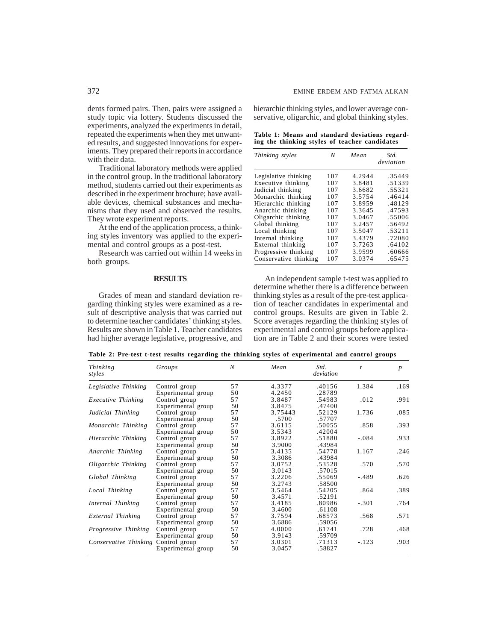dents formed pairs. Then, pairs were assigned a study topic via lottery. Students discussed the experiments, analyzed the experiments in detail, repeated the experiments when they met unwanted results, and suggested innovations for experiments. They prepared their reports in accordance with their data.

Traditional laboratory methods were applied in the control group. In the traditional laboratory method, students carried out their experiments as described in the experiment brochure; have available devices, chemical substances and mechanisms that they used and observed the results. They wrote experiment reports.

At the end of the application process, a thinking styles inventory was applied to the experimental and control groups as a post-test.

Research was carried out within 14 weeks in both groups.

## **RESULTS**

Grades of mean and standard deviation regarding thinking styles were examined as a result of descriptive analysis that was carried out to determine teacher candidates' thinking styles. Results are shown in Table 1. Teacher candidates had higher average legislative, progressive, and hierarchic thinking styles, and lower average conservative, oligarchic, and global thinking styles.

|  | Table 1: Means and standard deviations regard- |  |  |  |
|--|------------------------------------------------|--|--|--|
|  | ing the thinking styles of teacher candidates  |  |  |  |

| Thinking styles       | N   | Mean   | Std.<br>deviation |
|-----------------------|-----|--------|-------------------|
| Legislative thinking  | 107 | 4.2944 | .35449            |
| Executive thinking    | 107 | 3.8481 | .51339            |
| Judicial thinking     | 107 | 3.6682 | .55321            |
| Monarchic thinking    | 107 | 3.5754 | .46414            |
| Hierarchic thinking   | 107 | 3.8959 | .48129            |
| Anarchic thinking     | 107 | 3.3645 | .47593            |
| Oligarchic thinking   | 107 | 3.0467 | .55006            |
| Global thinking       | 107 | 3.2457 | .56492            |
| Local thinking        | 107 | 3.5047 | .53211            |
| Internal thinking     | 107 | 3.4379 | .72080            |
| External thinking     | 107 | 3.7263 | .64102            |
| Progressive thinking  | 107 | 3.9599 | .60666            |
| Conservative thinking | 107 | 3.0374 | .65475            |

An independent sample t-test was applied to determine whether there is a difference between thinking styles as a result of the pre-test application of teacher candidates in experimental and control groups. Results are given in Table 2. Score averages regarding the thinking styles of experimental and control groups before application are in Table 2 and their scores were tested

**Table 2: Pre-test t-test results regarding the thinking styles of experimental and control groups**

| <i>Thinking</i><br>styles   | Groups             | N  | Mean    | Std.<br>deviation | t       | $\boldsymbol{p}$ |
|-----------------------------|--------------------|----|---------|-------------------|---------|------------------|
| Legislative Thinking        | Control group      | 57 | 4.3377  | .40156            | 1.384   | .169             |
|                             | Experimental group | 50 | 4.2450  | .28789            |         |                  |
| Executive Thinking          | Control group      | 57 | 3.8487  | .54983            | .012    | .991             |
|                             | Experimental group | 50 | 3.8475  | .47400            |         |                  |
| Judicial Thinking           | Control group      | 57 | 3.75443 | .52129            | 1.736   | .085             |
|                             | Experimental group | 50 | .5700   | .57707            |         |                  |
| Monarchic Thinking          | Control group      | 57 | 3.6115  | .50055            | .858    | .393             |
|                             | Experimental group | 50 | 3.5343  | .42004            |         |                  |
| Hierarchic Thinking         | Control group      | 57 | 3.8922  | .51880            | $-.084$ | .933             |
|                             | Experimental group | 50 | 3.9000  | .43984            |         |                  |
| Anarchic Thinking           | Control group      | 57 | 3.4135  | .54778            | 1.167   | .246             |
|                             | Experimental group | 50 | 3.3086  | .43984            |         |                  |
| Oligarchic Thinking         | Control group      | 57 | 3.0752  | .53528            | .570    | .570             |
|                             | Experimental group | 50 | 3.0143  | .57015            |         |                  |
| Global Thinking             | Control group      | 57 | 3.2206  | .55069            | $-.489$ | .626             |
|                             | Experimental group | 50 | 3.2743  | .58500            |         |                  |
| Local Thinking              | Control group      | 57 | 3.5464  | .54205            | .864    | .389             |
|                             | Experimental group | 50 | 3.4571  | .52191            |         |                  |
| Internal Thinking           | Control group      | 57 | 3.4185  | .80986            | $-.301$ | .764             |
|                             | Experimental group | 50 | 3.4600  | .61108            |         |                  |
| External Thinking           | Control group      | 57 | 3.7594  | .68573            | .568    | .571             |
|                             | Experimental group | 50 | 3.6886  | .59056            |         |                  |
| <i>Progressive Thinking</i> | Control group      | 57 | 4.0000  | .61741            | .728    | .468             |
|                             | Experimental group | 50 | 3.9143  | .59709            |         |                  |
| Conservative Thinking       | Control group      | 57 | 3.0301  | .71313            | $-.123$ | .903             |
|                             | Experimental group | 50 | 3.0457  | .58827            |         |                  |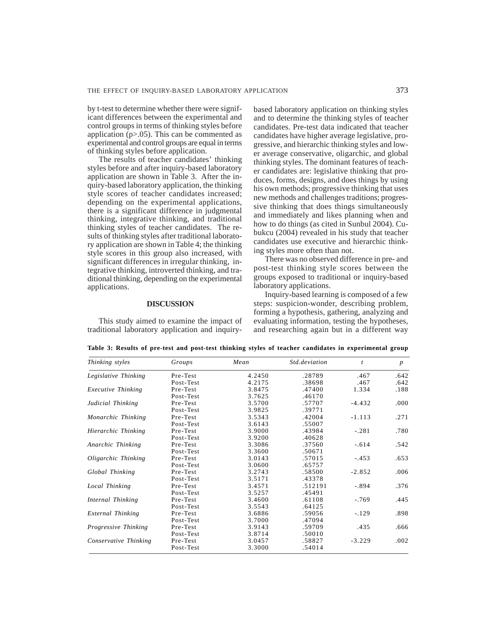by t-test to determine whether there were significant differences between the experimental and control groups in terms of thinking styles before application  $(p>0.05)$ . This can be commented as experimental and control groups are equal in terms of thinking styles before application.

The results of teacher candidates' thinking styles before and after inquiry-based laboratory application are shown in Table 3. After the inquiry-based laboratory application, the thinking style scores of teacher candidates increased; depending on the experimental applications, there is a significant difference in judgmental thinking, integrative thinking, and traditional thinking styles of teacher candidates. The results of thinking styles after traditional laboratory application are shown in Table 4; the thinking style scores in this group also increased, with significant differences in irregular thinking, integrative thinking, introverted thinking, and traditional thinking, depending on the experimental applications.

# **DISCUSSION**

This study aimed to examine the impact of traditional laboratory application and inquirybased laboratory application on thinking styles and to determine the thinking styles of teacher candidates. Pre-test data indicated that teacher candidates have higher average legislative, progressive, and hierarchic thinking styles and lower average conservative, oligarchic, and global thinking styles. The dominant features of teacher candidates are: legislative thinking that produces, forms, designs, and does things by using his own methods; progressive thinking that uses new methods and challenges traditions; progressive thinking that does things simultaneously and immediately and likes planning when and how to do things (as cited in Sunbul 2004). Cubukcu (2004) revealed in his study that teacher candidates use executive and hierarchic thinking styles more often than not.

There was no observed difference in pre- and post-test thinking style scores between the groups exposed to traditional or inquiry-based laboratory applications.

Inquiry-based learning is composed of a few steps: suspicion-wonder, describing problem, forming a hypothesis, gathering, analyzing and evaluating information, testing the hypotheses, and researching again but in a different way

| Thinking styles           | Groups    | Mean   | Std.deviation | $\mathfrak{t}$ | $\boldsymbol{p}$ |
|---------------------------|-----------|--------|---------------|----------------|------------------|
| Legislative Thinking      | Pre-Test  | 4.2450 | .28789        | .467           | .642             |
|                           | Post-Test | 4.2175 | .38698        | .467           | .642             |
| <b>Executive Thinking</b> | Pre-Test  | 3.8475 | .47400        | 1.334          | .188             |
|                           | Post-Test | 3.7625 | .46170        |                |                  |
| Judicial Thinking         | Pre-Test  | 3.5700 | .57707        | $-4.432$       | .000             |
|                           | Post-Test | 3.9825 | .39771        |                |                  |
| Monarchic Thinking        | Pre-Test  | 3.5343 | .42004        | $-1.113$       | .271             |
|                           | Post-Test | 3.6143 | .55007        |                |                  |
| Hierarchic Thinking       | Pre-Test  | 3.9000 | .43984        | $-.281$        | .780             |
|                           | Post-Test | 3.9200 | .40628        |                |                  |
| Anarchic Thinking         | Pre-Test  | 3.3086 | .37560        | $-.614$        | .542             |
|                           | Post-Test | 3.3600 | .50671        |                |                  |
| Oligarchic Thinking       | Pre-Test  | 3.0143 | .57015        | $-.453$        | .653             |
|                           | Post-Test | 3.0600 | .65757        |                |                  |
| Global Thinking           | Pre-Test  | 3.2743 | .58500        | $-2.852$       | .006             |
|                           | Post-Test | 3.5171 | .43378        |                |                  |
| Local Thinking            | Pre-Test  | 3.4571 | .512191       | $-.894$        | .376             |
|                           | Post-Test | 3.5257 | .45491        |                |                  |
| Internal Thinking         | Pre-Test  | 3.4600 | .61108        | $-.769$        | .445             |
|                           | Post-Test | 3.5543 | .64125        |                |                  |
| External Thinking         | Pre-Test  | 3.6886 | .59056        | $-.129$        | .898             |
|                           | Post-Test | 3.7000 | .47094        |                |                  |
| Progressive Thinking      | Pre-Test  | 3.9143 | .59709        | .435           | .666             |
|                           | Post-Test | 3.8714 | .50010        |                |                  |
| Conservative Thinking     | Pre-Test  | 3.0457 | .58827        | $-3.229$       | .002             |
|                           | Post-Test | 3.3000 | .54014        |                |                  |

**Table 3: Results of pre-test and post-test thinking styles of teacher candidates in experimental group**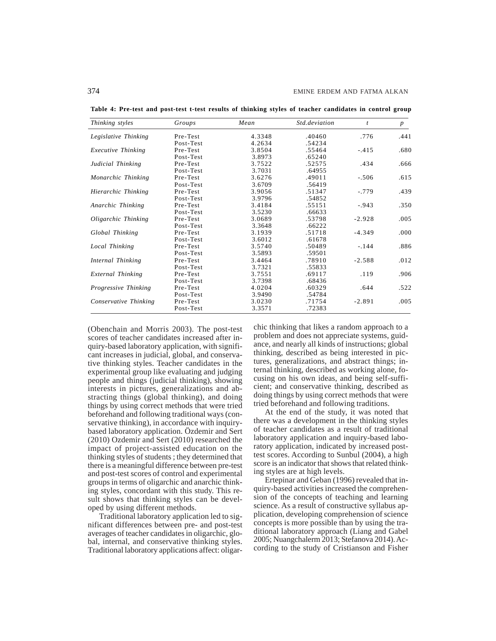| Thinking styles       | Groups    | Mean   | <i>Std deviation</i> | t        | $\boldsymbol{p}$ |
|-----------------------|-----------|--------|----------------------|----------|------------------|
| Legislative Thinking  | Pre-Test  | 4.3348 | .40460               | .776     | .441             |
|                       | Post-Test | 4.2634 | .54234               |          |                  |
| Executive Thinking    | Pre-Test  | 3.8504 | .55464               | $-.415$  | .680             |
|                       | Post-Test | 3.8973 | .65240               |          |                  |
| Judicial Thinking     | Pre-Test  | 3.7522 | .52575               | .434     | .666             |
|                       | Post-Test | 3.7031 | .64955               |          |                  |
| Monarchic Thinking    | Pre-Test  | 3.6276 | .49011               | $-.506$  | .615             |
|                       | Post-Test | 3.6709 | .56419               |          |                  |
| Hierarchic Thinking   | Pre-Test  | 3.9056 | .51347               | $-.779$  | .439             |
|                       | Post-Test | 3.9796 | .54852               |          |                  |
| Anarchic Thinking     | Pre-Test  | 3.4184 | .55151               | $-.943$  | .350             |
|                       | Post-Test | 3.5230 | .66633               |          |                  |
| Oligarchic Thinking   | Pre-Test  | 3.0689 | .53798               | $-2.928$ | .005             |
|                       | Post-Test | 3.3648 | .66222               |          |                  |
| Global Thinking       | Pre-Test  | 3.1939 | .51718               | $-4.349$ | .000             |
|                       | Post-Test | 3.6012 | .61678               |          |                  |
| Local Thinking        | Pre-Test  | 3.5740 | .50489               | $-.144$  | .886             |
|                       | Post-Test | 3.5893 | .59501               |          |                  |
| Internal Thinking     | Pre-Test  | 3.4464 | .78910               | $-2.588$ | .012             |
|                       | Post-Test | 3.7321 | .55833               |          |                  |
| External Thinking     | Pre-Test  | 3.7551 | .69117               | .119     | .906             |
|                       | Post-Test | 3.7398 | .68436               |          |                  |
| Progressive Thinking  | Pre-Test  | 4.0204 | .60329               | .644     | .522             |
|                       | Post-Test | 3.9490 | .54784               |          |                  |
| Conservative Thinking | Pre-Test  | 3.0230 | .71754               | $-2.891$ | .005             |
|                       | Post-Test | 3.3571 | .72383               |          |                  |

**Table 4: Pre-test and post-test t-test results of thinking styles of teacher candidates in control group**

(Obenchain and Morris 2003). The post-test scores of teacher candidates increased after inquiry-based laboratory application, with significant increases in judicial, global, and conservative thinking styles. Teacher candidates in the experimental group like evaluating and judging people and things (judicial thinking), showing interests in pictures, generalizations and abstracting things (global thinking), and doing things by using correct methods that were tried beforehand and following traditional ways (conservative thinking), in accordance with inquirybased laboratory application. Özdemir and Sert (2010) Ozdemir and Sert (2010) researched the impact of project-assisted education on the thinking styles of students ; they determined that there is a meaningful difference between pre-test and post-test scores of control and experimental groups in terms of oligarchic and anarchic thinking styles, concordant with this study. This result shows that thinking styles can be developed by using different methods.

Traditional laboratory application led to significant differences between pre- and post-test averages of teacher candidates in oligarchic, global, internal, and conservative thinking styles. Traditional laboratory applications affect: oligarchic thinking that likes a random approach to a problem and does not appreciate systems, guidance, and nearly all kinds of instructions; global thinking, described as being interested in pictures, generalizations, and abstract things; internal thinking, described as working alone, focusing on his own ideas, and being self-sufficient; and conservative thinking, described as doing things by using correct methods that were tried beforehand and following traditions.

At the end of the study, it was noted that there was a development in the thinking styles of teacher candidates as a result of traditional laboratory application and inquiry-based laboratory application, indicated by increased posttest scores. According to Sunbul (2004), a high score is an indicator that shows that related thinking styles are at high levels.

Ertepinar and Geban (1996) revealed that inquiry-based activities increased the comprehension of the concepts of teaching and learning science. As a result of constructive syllabus application, developing comprehension of science concepts is more possible than by using the traditional laboratory approach (Liang and Gabel 2005; Nuangchalerm 2013; Stefanova 2014). According to the study of Cristianson and Fisher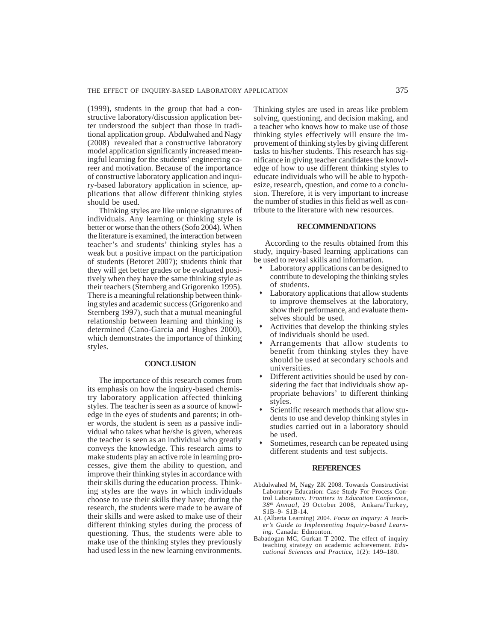(1999), students in the group that had a constructive laboratory/discussion application better understood the subject than those in traditional application group. Abdulwahed and Nagy (2008) revealed that a constructive laboratory model application significantly increased meaningful learning for the students' engineering career and motivation. Because of the importance of constructive laboratory application and inquiry-based laboratory application in science, applications that allow different thinking styles should be used.

Thinking styles are like unique signatures of individuals. Any learning or thinking style is better or worse than the others (Sofo 2004). When the literature is examined, the interaction between teacher's and students' thinking styles has a weak but a positive impact on the participation of students (Betoret 2007); students think that they will get better grades or be evaluated positively when they have the same thinking style as their teachers (Sternberg and Grigorenko 1995). There is a meaningful relationship between thinking styles and academic success (Grigorenko and Sternberg 1997), such that a mutual meaningful relationship between learning and thinking is determined (Cano-Garcia and Hughes 2000), which demonstrates the importance of thinking styles.

#### **CONCLUSION**

The importance of this research comes from its emphasis on how the inquiry-based chemistry laboratory application affected thinking styles. The teacher is seen as a source of knowledge in the eyes of students and parents; in other words, the student is seen as a passive individual who takes what he/she is given, whereas the teacher is seen as an individual who greatly conveys the knowledge. This research aims to make students play an active role in learning processes, give them the ability to question, and improve their thinking styles in accordance with their skills during the education process. Thinking styles are the ways in which individuals choose to use their skills they have; during the research, the students were made to be aware of their skills and were asked to make use of their different thinking styles during the process of questioning. Thus, the students were able to make use of the thinking styles they previously had used less in the new learning environments.

Thinking styles are used in areas like problem solving, questioning, and decision making, and a teacher who knows how to make use of those thinking styles effectively will ensure the improvement of thinking styles by giving different tasks to his/her students. This research has significance in giving teacher candidates the knowledge of how to use different thinking styles to educate individuals who will be able to hypothesize, research, question, and come to a conclusion. Therefore, it is very important to increase the number of studies in this field as well as contribute to the literature with new resources.

## **RECOMMENDATIONS**

According to the results obtained from this study, inquiry-based learning applications can be used to reveal skills and information.

- Laboratory applications can be designed to contribute to developing the thinking styles of students.
- Laboratory applications that allow students to improve themselves at the laboratory, show their performance, and evaluate themselves should be used.
- Activities that develop the thinking styles of individuals should be used.
- Arrangements that allow students to benefit from thinking styles they have should be used at secondary schools and universities.
- Different activities should be used by considering the fact that individuals show appropriate behaviors' to different thinking styles.
- Scientific research methods that allow students to use and develop thinking styles in studies carried out in a laboratory should be used.
- Sometimes, research can be repeated using different students and test subjects.

#### **REFERENCES**

- Abdulwahed M, Nagy ZK 2008. Towards Constructivist Laboratory Education: Case Study For Process Control Laboratory*. Frontiers in Education Conference, 38th Annual,* 29 October 2008, Ankara/Turkey**,** S1B–9- S1B-14.
- AL (Alberta Learning) 2004. *Focus on Inquiry: A Teacher's Guide to Implementing Inquiry-based Learning*. Canada: Edmonton.
- Babadogan MC, Gurkan T 2002. The effect of inquiry teaching strategy on academic achievement. *Educational Sciences and Practice*, 1(2): 149–180.